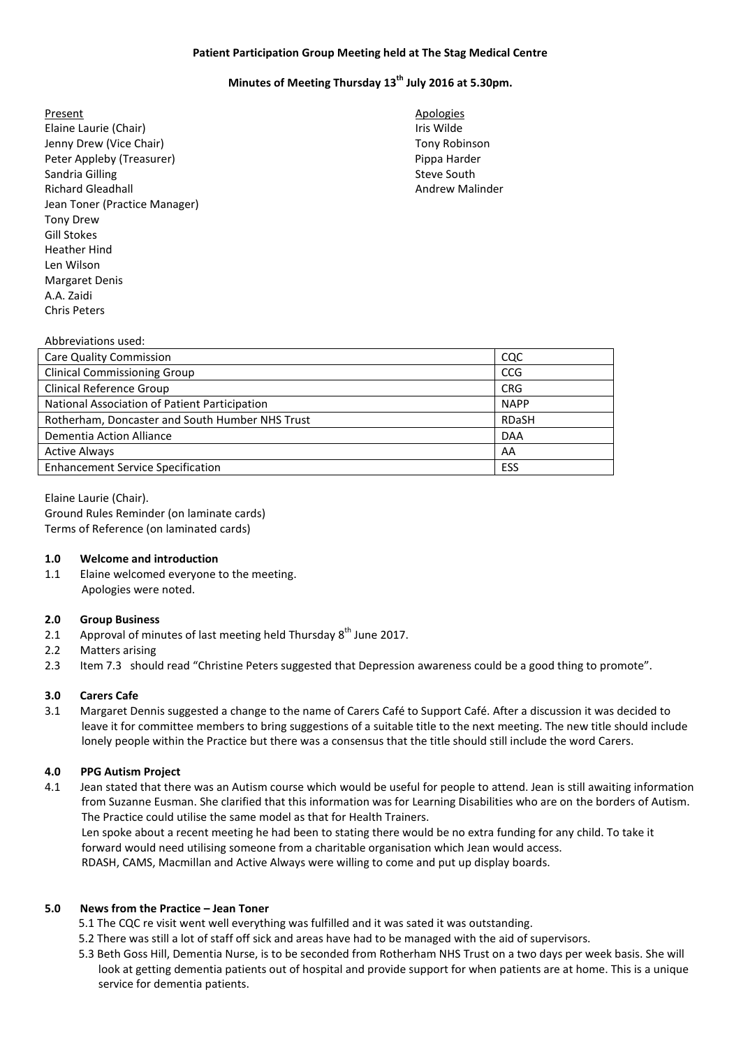# **Patient Participation Group Meeting held at The Stag Medical Centre**

# **Minutes of Meeting Thursday 13th July 2016 at 5.30pm.**

- Present Apologies **Apologies** Elaine Laurie (Chair) **If the Chair** is wilde Jenny Drew (Vice Chair) **The Chair** Chair Chair Chair Chair Chair Chair Chair Chair Chair Chair Chair Chair Chair Peter Appleby (Treasurer) and the extent of the Pippa Harder Sandria Gilling Steve South Steve South Steve South Steve South Steve South Steve South Steve South Steve South Richard Gleadhall Andrew Malinder Jean Toner (Practice Manager) Tony Drew Gill Stokes Heather Hind Len Wilson Margaret Denis A.A. Zaidi Chris Peters
	-

#### Abbreviations used:

| Care Quality Commission                         | CQC          |
|-------------------------------------------------|--------------|
| <b>Clinical Commissioning Group</b>             | <b>CCG</b>   |
| Clinical Reference Group                        | <b>CRG</b>   |
| National Association of Patient Participation   | <b>NAPP</b>  |
| Rotherham, Doncaster and South Humber NHS Trust | <b>RDaSH</b> |
| Dementia Action Alliance                        | <b>DAA</b>   |
| <b>Active Always</b>                            | AA           |
| <b>Enhancement Service Specification</b>        | ESS          |

Elaine Laurie (Chair). Ground Rules Reminder (on laminate cards) Terms of Reference (on laminated cards)

#### **1.0 Welcome and introduction**

1.1 Elaine welcomed everyone to the meeting. Apologies were noted.

# **2.0 Group Business**

- 2.1 Approval of minutes of last meeting held Thursday  $8^{th}$  June 2017.
- 2.2 Matters arising
- 2.3 Item 7.3 should read "Christine Peters suggested that Depression awareness could be a good thing to promote".

# **3.0 Carers Cafe**

3.1 Margaret Dennis suggested a change to the name of Carers Café to Support Café. After a discussion it was decided to leave it for committee members to bring suggestions of a suitable title to the next meeting. The new title should include lonely people within the Practice but there was a consensus that the title should still include the word Carers.

# **4.0 PPG Autism Project**

4.1 Jean stated that there was an Autism course which would be useful for people to attend. Jean is still awaiting information from Suzanne Eusman. She clarified that this information was for Learning Disabilities who are on the borders of Autism. The Practice could utilise the same model as that for Health Trainers.

 Len spoke about a recent meeting he had been to stating there would be no extra funding for any child. To take it forward would need utilising someone from a charitable organisation which Jean would access. RDASH, CAMS, Macmillan and Active Always were willing to come and put up display boards.

#### **5.0 News from the Practice – Jean Toner**

- 5.1 The CQC re visit went well everything was fulfilled and it was sated it was outstanding.
- 5.2 There was still a lot of staff off sick and areas have had to be managed with the aid of supervisors.
- 5.3 Beth Goss Hill, Dementia Nurse, is to be seconded from Rotherham NHS Trust on a two days per week basis. She will look at getting dementia patients out of hospital and provide support for when patients are at home. This is a unique service for dementia patients.